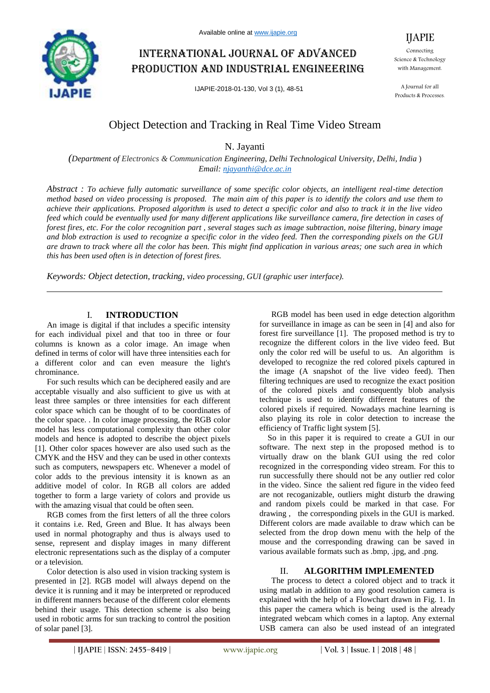

# International journal of advanced production and industrial engineering

IJAPIE-2018-01-130, Vol 3 (1), 48-51

Connecting Science & Technology with Management.

IJAPIE

A Journal for all Products & Processes.

# Object Detection and Tracking in Real Time Video Stream

N. Jayanti

*(Department of Electronics & Communication Engineering, Delhi Technological University, Delhi, India* ) *Email: njayanthi@dce.ac.in*

*Abstract : To achieve fully automatic surveillance of some specific color objects, an intelligent real-time detection method based on video processing is proposed. The main aim of this paper is to identify the colors and use them to achieve their applications. Proposed algorithm is used to detect a specific color and also to track it in the live video feed which could be eventually used for many different applications like surveillance camera, fire detection in cases of forest fires, etc. For the color recognition part , several stages such as image subtraction, noise filtering, binary image and blob extraction is used to recognize a specific color in the video feed. Then the corresponding pixels on the GUI are drawn to track where all the color has been. This might find application in various areas; one such area in which this has been used often is in detection of forest fires.*

*Keywords: Object detection, tracking, video processing, GUI (graphic user interface).*

## I. **INTRODUCTION**

An image is digital if that includes a specific intensity for each individual pixel and that too in three or four columns is known as a color image. An image when defined in terms of color will have three intensities each for a different color and can even measure the light's chrominance.

For such results which can be deciphered easily and are acceptable visually and also sufficient to give us with at least three samples or three intensities for each different color space which can be thought of to be coordinates of the color space. . In color image processing, the RGB color model has less computational complexity than other color models and hence is adopted to describe the object pixels [1]. Other color spaces however are also used such as the CMYK and the HSV and they can be used in other contexts such as computers, newspapers etc. Whenever a model of color adds to the previous intensity it is known as an additive model of color. In RGB all colors are added together to form a large variety of colors and provide us with the amazing visual that could be often seen.

RGB comes from the first letters of all the three colors it contains i.e. Red, Green and Blue. It has always been used in normal photography and thus is always used to sense, represent and display images in many different electronic representations such as the display of a computer or a television.

Color detection is also used in vision tracking system is presented in [2]. RGB model will always depend on the device it is running and it may be interpreted or reproduced in different manners because of the different color elements behind their usage. This detection scheme is also being used in robotic arms for sun tracking to control the position of solar panel [3].

RGB model has been used in edge detection algorithm for surveillance in image as can be seen in [4] and also for forest fire surveillance [1]. The proposed method is try to recognize the different colors in the live video feed. But only the color red will be useful to us. An algorithm is developed to recognize the red colored pixels captured in the image (A snapshot of the live video feed). Then filtering techniques are used to recognize the exact position of the colored pixels and consequently blob analysis technique is used to identify different features of the colored pixels if required. Nowadays machine learning is also playing its role in color detection to increase the efficiency of Traffic light system [5].

So in this paper it is required to create a GUI in our software. The next step in the proposed method is to virtually draw on the blank GUI using the red color recognized in the corresponding video stream. For this to run successfully there should not be any outlier red color in the video. Since the salient red figure in the video feed are not recoganizable, outliers might disturb the drawing and random pixels could be marked in that case. For drawing , the corresponding pixels in the GUI is marked. Different colors are made available to draw which can be selected from the drop down menu with the help of the mouse and the corresponding drawing can be saved in various available formats such as .bmp, .jpg, and .png.

## II. **ALGORITHM IMPLEMENTED**

The process to detect a colored object and to track it using matlab in addition to any good resolution camera is explained with the help of a Flowchart drawn in Fig. 1. In this paper the camera which is being used is the already integrated webcam which comes in a laptop. Any external USB camera can also be used instead of an integrated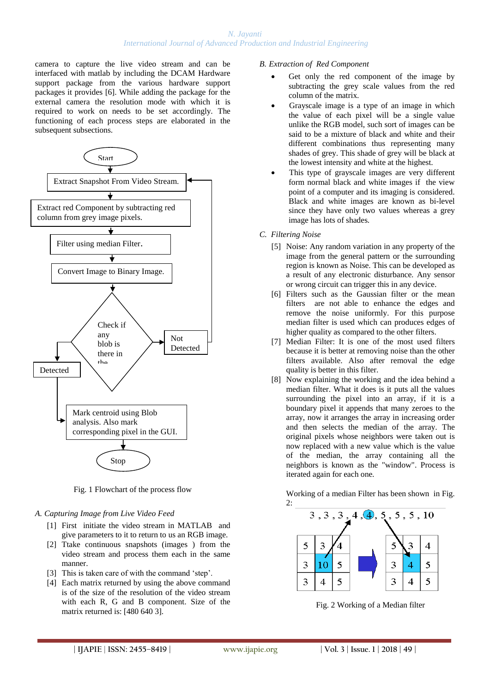## *N. Jayanti International Journal of Advanced Production and Industrial Engineering*

camera to capture the live video stream and can be interfaced with matlab by including the DCAM Hardware support package from the various hardware support packages it provides [6]. While adding the package for the external camera the resolution mode with which it is required to work on needs to be set accordingly. The functioning of each process steps are elaborated in the subsequent subsections.



Fig. 1 Flowchart of the process flow

## *A. Capturing Image from Live Video Feed*

- [1] First initiate the video stream in MATLAB and give parameters to it to return to us an RGB image.
- [2] Ttake continuous snapshots (images ) from the video stream and process them each in the same manner.
- [3] This is taken care of with the command 'step'.
- [4] Each matrix returned by using the above command is of the size of the resolution of the video stream with each R, G and B component. Size of the matrix returned is: [480 640 3].

#### *B. Extraction of Red Component*

- Get only the red component of the image by subtracting the grey scale values from the red column of the matrix.
- Grayscale image is a type of an image in which the value of each pixel will be a single value unlike the RGB model, such sort of images can be said to be a mixture of black and white and their different combinations thus representing many shades of grey. This shade of grey will be black at the lowest intensity and white at the highest.
- This type of grayscale images are very different form normal black and white images if the view point of a computer and its imaging is considered. Black and white images are known as bi-level since they have only two values whereas a grey image has lots of shades.
- *C. Filtering Noise*
	- [5] Noise: Any random variation in any property of the image from the general pattern or the surrounding region is known as Noise. This can be developed as a result of any electronic disturbance. Any sensor or wrong circuit can trigger this in any device.
	- [6] Filters such as the Gaussian filter or the mean filters are not able to enhance the edges and remove the noise uniformly. For this purpose median filter is used which can produces edges of higher quality as compared to the other filters.
	- [7] Median Filter: It is one of the most used filters because it is better at removing noise than the other filters available. Also after removal the edge quality is better in this filter.
	- [8] Now explaining the working and the idea behind a median filter. What it does is it puts all the values surrounding the pixel into an array, if it is a boundary pixel it appends that many zeroes to the array, now it arranges the array in increasing order and then selects the median of the array. The original pixels whose neighbors were taken out is now replaced with a new value which is the value of the median, the array containing all the neighbors is known as the "window". Process is iterated again for each one.

Working of a median Filter has been shown in Fig.



Fig. 2 Working of a Median filter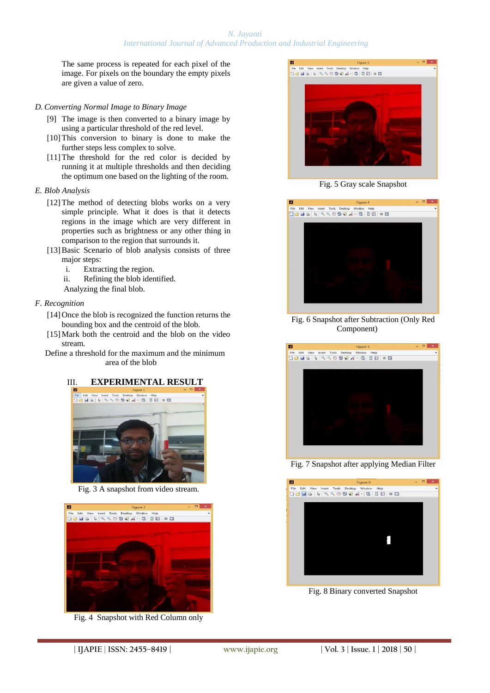## *N. Jayanti International Journal of Advanced Production and Industrial Engineering*

The same process is repeated for each pixel of the image. For pixels on the boundary the empty pixels are given a value of zero.

#### *D. Converting Normal Image to Binary Image*

- [9] The image is then converted to a binary image by using a particular threshold of the red level.
- [10] This conversion to binary is done to make the further steps less complex to solve.
- [11] The threshold for the red color is decided by running it at multiple thresholds and then deciding the optimum one based on the lighting of the room.
- *E. Blob Analysis*
	- [12]The method of detecting blobs works on a very simple principle. What it does is that it detects regions in the image which are very different in properties such as brightness or any other thing in comparison to the region that surrounds it.
	- [13] Basic Scenario of blob analysis consists of three major steps:
		- i. Extracting the region.
		- ii. Refining the blob identified.
		- Analyzing the final blob.

## *F. Recognition*

- [14] Once the blob is recognized the function returns the bounding box and the centroid of the blob.
- [15] Mark both the centroid and the blob on the video stream.

Define a threshold for the maximum and the minimum area of the blob

# III. **EXPERIMENTAL RESULT**



Fig. 3 A snapshot from video stream.



Fig. 4 Snapshot with Red Column only



Fig. 5 Gray scale Snapshot



Fig. 6 Snapshot after Subtraction (Only Red Component)



Fig. 7 Snapshot after applying Median Filter



Fig. 8 Binary converted Snapshot